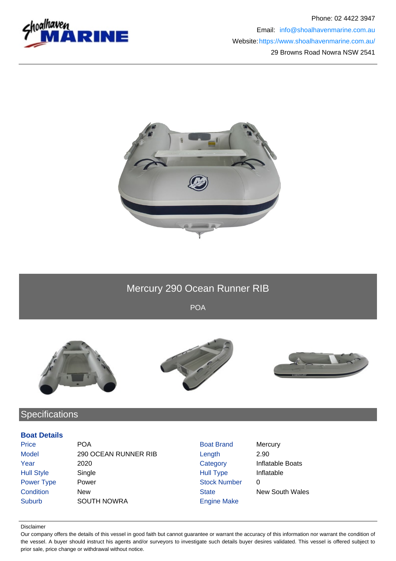



# Mercury 290 Ocean Runner RIB

POA







# **Specifications**

### **Boat Details**

| Price             | <b>POA</b>           | <b>Boat Brand</b>   | Mercury                |
|-------------------|----------------------|---------------------|------------------------|
| <b>Model</b>      | 290 OCEAN RUNNER RIB | Length              | 2.90                   |
| Year              | 2020                 | Category            | Inflatable Boats       |
| <b>Hull Style</b> | Single               | <b>Hull Type</b>    | Inflatable             |
| Power Type        | Power                | <b>Stock Number</b> | 0                      |
| Condition         | New                  | <b>State</b>        | <b>New South Wales</b> |
| <b>Suburb</b>     | <b>SOUTH NOWRA</b>   | <b>Engine Make</b>  |                        |

#### Disclaimer

Our company offers the details of this vessel in good faith but cannot guarantee or warrant the accuracy of this information nor warrant the condition of the vessel. A buyer should instruct his agents and/or surveyors to investigate such details buyer desires validated. This vessel is offered subject to prior sale, price change or withdrawal without notice.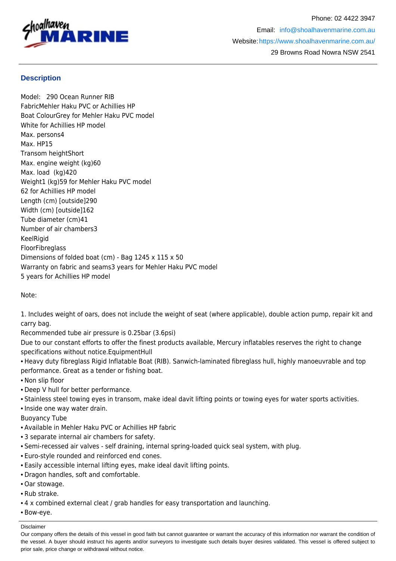

## **Description**

Model: 290 Ocean Runner RIB FabricMehler Haku PVC or Achillies HP Boat ColourGrey for Mehler Haku PVC model White for Achillies HP model Max. persons4 Max. HP15 Transom heightShort Max. engine weight (kg)60 Max. load (kg)420 Weight1 (kg)59 for Mehler Haku PVC model 62 for Achillies HP model Length (cm) [outside]290 Width (cm) [outside]162 Tube diameter (cm)41 Number of air chambers3 **KeelRigid** FloorFibreglass Dimensions of folded boat (cm) - Bag 1245 x 115 x 50 Warranty on fabric and seams3 years for Mehler Haku PVC model 5 years for Achillies HP model

Note:

1. Includes weight of oars, does not include the weight of seat (where applicable), double action pump, repair kit and carry bag.

Recommended tube air pressure is 0.25bar (3.6psi)

Due to our constant efforts to offer the finest products available, Mercury inflatables reserves the right to change specifications without notice.EquipmentHull

• Heavy duty fibreglass Rigid Inflatable Boat (RIB). Sanwich-laminated fibreglass hull, highly manoeuvrable and top performance. Great as a tender or fishing boat.

• Non slip floor

- Deep V hull for better performance.
- Stainless steel towing eyes in transom, make ideal davit lifting points or towing eyes for water sports activities.
- Inside one way water drain.
- Buoyancy Tube
- Available in Mehler Haku PVC or Achillies HP fabric
- 3 separate internal air chambers for safety.
- Semi-recessed air valves self draining, internal spring-loaded quick seal system, with plug.
- Euro-style rounded and reinforced end cones.
- Easily accessible internal lifting eyes, make ideal davit lifting points.
- Dragon handles, soft and comfortable.
- Oar stowage.
- Rub strake.
- 4 x combined external cleat / grab handles for easy transportation and launching.
- Bow-eye.

Disclaimer

Our company offers the details of this vessel in good faith but cannot guarantee or warrant the accuracy of this information nor warrant the condition of the vessel. A buyer should instruct his agents and/or surveyors to investigate such details buyer desires validated. This vessel is offered subject to prior sale, price change or withdrawal without notice.